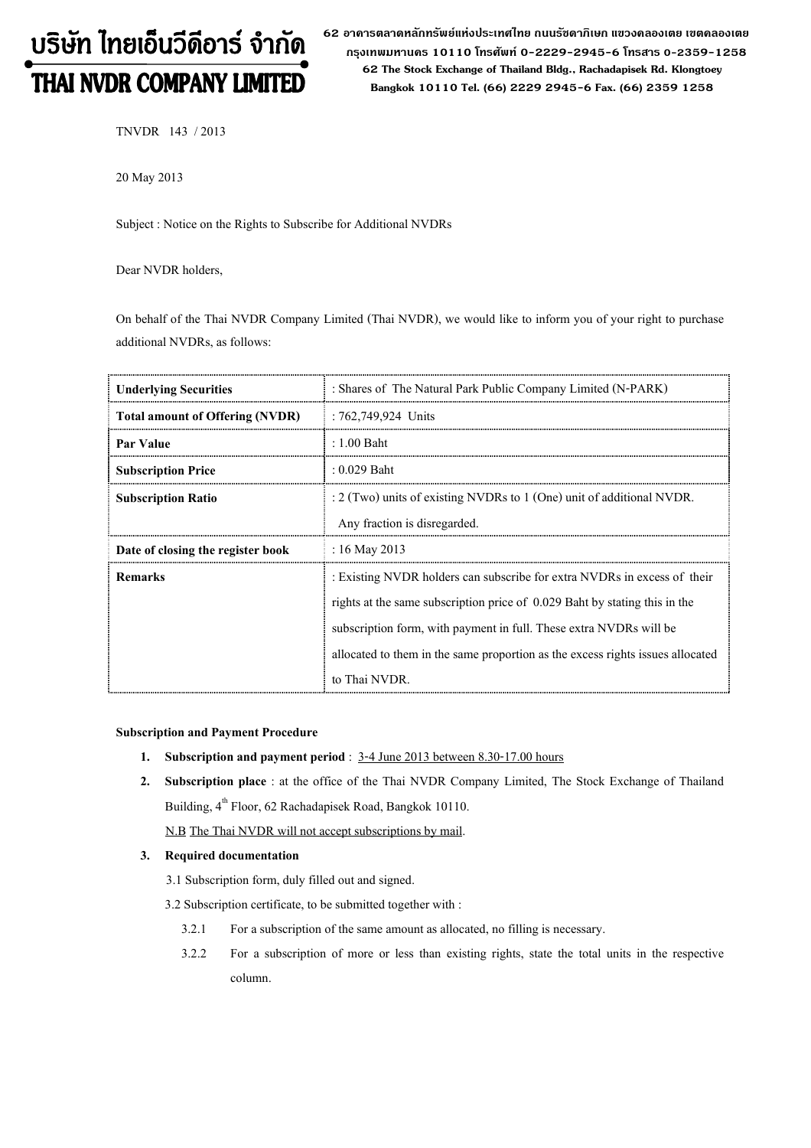# บริษัท ไทยเอ็นวีดีอาร์ จำกัด THAI NVDR COMPANY LIMITED

62 อาดารตลาดหลักทรัพย์แห่งประเทศไทย ถนนรัซดาภิเษก แขวงดลองเตย เขตดลองเตย กรุงเทพมหานดร 10110 โทรศัพท์ 0-2229-2945-6 โทรสาร 0-2359-1258 62 The Stock Exchange of Thailand Bldg., Rachadapisek Rd. Klongtoey Bangkok 10110 Tel. (66) 2229 2945-6 Fax. (66) 2359 1258

TNVDR 143 / 2013

20 May 2013

Subject : Notice on the Rights to Subscribe for Additional NVDRs

Dear NVDR holders,

On behalf of the Thai NVDR Company Limited (Thai NVDR), we would like to inform you of your right to purchase additional NVDRs, as follows:

| <b>Underlying Securities</b>           | : Shares of The Natural Park Public Company Limited (N-PARK)                   |
|----------------------------------------|--------------------------------------------------------------------------------|
| <b>Total amount of Offering (NVDR)</b> | : 762,749,924 Units                                                            |
| Par Value                              | $: 1.00$ Baht                                                                  |
| <b>Subscription Price</b>              | $: 0.029$ Baht                                                                 |
| <b>Subscription Ratio</b>              | $: 2$ (Two) units of existing NVDRs to 1 (One) unit of additional NVDR.        |
|                                        | Any fraction is disregarded.                                                   |
| Date of closing the register book      | : 16 May 2013                                                                  |
| <b>Remarks</b>                         | : Existing NVDR holders can subscribe for extra NVDRs in excess of their       |
|                                        | rights at the same subscription price of 0.029 Baht by stating this in the     |
|                                        | subscription form, with payment in full. These extra NVDRs will be             |
|                                        | allocated to them in the same proportion as the excess rights issues allocated |
|                                        | to Thai NVDR.                                                                  |

#### Subscription and Payment Procedure

- 1. Subscription and payment period : 3-4 June 2013 between 8.30-17.00 hours
- 2. Subscription place : at the office of the Thai NVDR Company Limited, The Stock Exchange of Thailand Building, 4<sup>th</sup> Floor, 62 Rachadapisek Road, Bangkok 10110.

N.B The Thai NVDR will not accept subscriptions by mail.

## 3. Required documentation

- 3.1 Subscription form, duly filled out and signed.
- 3.2 Subscription certificate, to be submitted together with :
	- 3.2.1 For a subscription of the same amount as allocated, no filling is necessary.
	- 3.2.2 For a subscription of more or less than existing rights, state the total units in the respective column.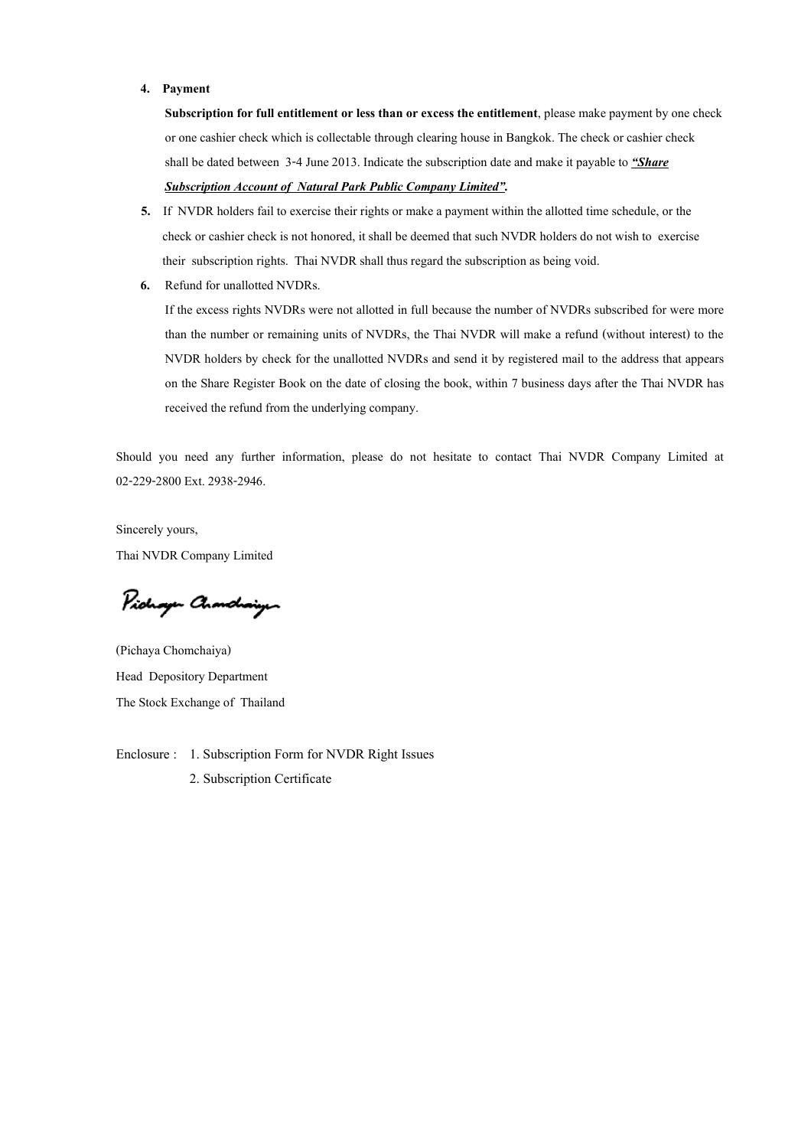#### 4. Payment

Subscription for full entitlement or less than or excess the entitlement, please make payment by one check or one cashier check which is collectable through clearing house in Bangkok. The check or cashier check shall be dated between 3-4 June 2013. Indicate the subscription date and make it payable to  $\frac{uS}{B}$ 

## Subscription Account of Natural Park Public Company Limited".

- 5. If NVDR holders fail to exercise their rights or make a payment within the allotted time schedule, or the check or cashier check is not honored, it shall be deemed that such NVDR holders do not wish to exercise their subscription rights. Thai NVDR shall thus regard the subscription as being void.
- 6. Refund for unallotted NVDRs.

If the excess rights NVDRs were not allotted in full because the number of NVDRs subscribed for were more than the number or remaining units of NVDRs, the Thai NVDR will make a refund (without interest) to the NVDR holders by check for the unallotted NVDRs and send it by registered mail to the address that appears on the Share Register Book on the date of closing the book, within 7 business days after the Thai NVDR has received the refund from the underlying company.

Should you need any further information, please do not hesitate to contact Thai NVDR Company Limited at 02-229-2800 Ext. 2938-2946.

Sincerely yours, Thai NVDR Company Limited

Pichayen Chanchaigen

(Pichaya Chomchaiya) Head Depository Department The Stock Exchange of Thailand

Enclosure : 1. Subscription Form for NVDR Right Issues 2. Subscription Certificate